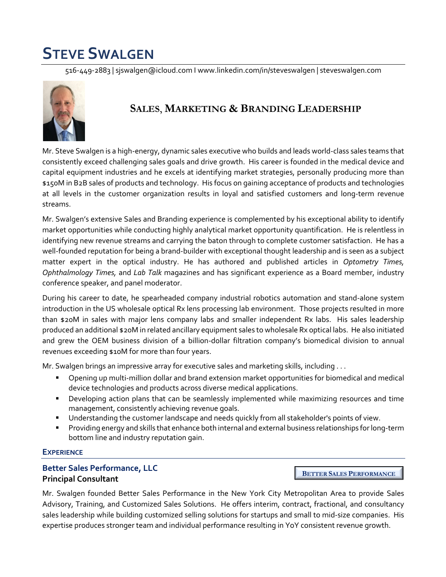# **STEVE SWALGEN**

516-449-2883 | sjswalgen@icloud.com I www.linkedin.com/in/steveswalgen | steveswalgen.com



## **SALES**, **MARKETING & BRANDING LEADERSHIP**

Mr. Steve Swalgen is a high-energy, dynamic sales executive who builds and leads world-class sales teams that consistently exceed challenging sales goals and drive growth. His career is founded in the medical device and capital equipment industries and he excels at identifying market strategies, personally producing more than \$150M in B2B sales of products and technology. His focus on gaining acceptance of products and technologies at all levels in the customer organization results in loyal and satisfied customers and long-term revenue streams.

Mr. Swalgen's extensive Sales and Branding experience is complemented by his exceptional ability to identify market opportunities while conducting highly analytical market opportunity quantification. He is relentless in identifying new revenue streams and carrying the baton through to complete customer satisfaction. He has a well-founded reputation for being a brand-builder with exceptional thought leadership and is seen as a subject matter expert in the optical industry. He has authored and published articles in *Optometry Times, Ophthalmology Times,* and *Lab Talk* magazines and has significant experience as a Board member, industry conference speaker, and panel moderator.

During his career to date, he spearheaded company industrial robotics automation and stand-alone system introduction in the US wholesale optical Rx lens processing lab environment. Those projects resulted in more than \$20M in sales with major lens company labs and smaller independent Rx labs. His sales leadership produced an additional \$20M in related ancillary equipment sales to wholesale Rx optical labs. He also initiated and grew the OEM business division of a billion-dollar filtration company's biomedical division to annual revenues exceeding \$10M for more than four years.

Mr. Swalgen brings an impressive array for executive sales and marketing skills, including . . .

- § Opening up multi-million dollar and brand extension market opportunities for biomedical and medical device technologies and products across diverse medical applications.
- § Developing action plans that can be seamlessly implemented while maximizing resources and time management, consistently achieving revenue goals.
- § Understanding the customer landscape and needs quickly from all stakeholder's points of view.
- § Providing energy and skills that enhance both internal and external business relationships for long-term bottom line and industry reputation gain.

#### **EXPERIENCE**

#### **Better Sales Performance, LLC Principal Consultant**

**BETTER SALES PERFORMANCE**

Mr. Swalgen founded Better Sales Performance in the New York City Metropolitan Area to provide Sales Advisory, Training, and Customized Sales Solutions. He offers interim, contract, fractional, and consultancy sales leadership while building customized selling solutions for startups and small to mid-size companies. His expertise produces stronger team and individual performance resulting in YoY consistent revenue growth.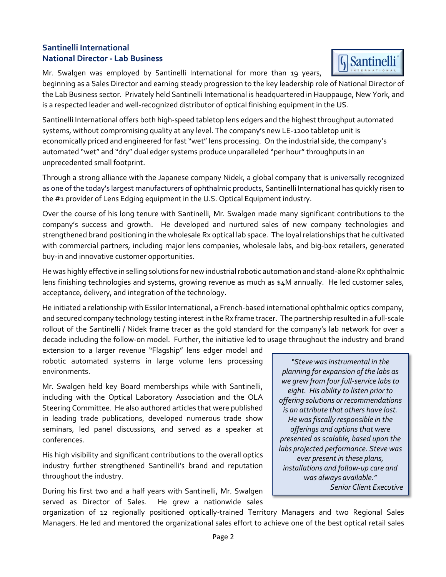#### **Santinelli International National Director - Lab Business**

Mr. Swalgen was employed by Santinelli International for more than 19 years,



beginning as a Sales Director and earning steady progression to the key leadership role of National Director of the Lab Business sector. Privately held Santinelli International is headquartered in Hauppauge, New York, and is a respected leader and well-recognized distributor of optical finishing equipment in the US.

Santinelli International offers both high-speed tabletop lens edgers and the highest throughput automated systems, without compromising quality at any level. The company's new LE-1200 tabletop unit is economically priced and engineered for fast "wet" lens processing. On the industrial side, the company's automated "wet" and "dry" dual edger systems produce unparalleled "per hour" throughputs in an unprecedented small footprint.

Through a strong alliance with the Japanese company Nidek, a global company that is universally recognized as one of the today's largest manufacturers of ophthalmic products, Santinelli International has quickly risen to the #1 provider of Lens Edging equipment in the U.S. Optical Equipment industry.

Over the course of his long tenure with Santinelli, Mr. Swalgen made many significant contributions to the company's success and growth. He developed and nurtured sales of new company technologies and strengthened brand positioning in the wholesale Rx optical lab space. The loyal relationships that he cultivated with commercial partners, including major lens companies, wholesale labs, and big-box retailers, generated buy-in and innovative customer opportunities.

He was highly effective in selling solutions for new industrial robotic automation and stand-alone Rx ophthalmic lens finishing technologies and systems, growing revenue as much as \$4M annually. He led customer sales, acceptance, delivery, and integration of the technology.

He initiated a relationship with Essilor International, a French-based international ophthalmic optics company, and secured company technology testing interest in the Rx frame tracer. The partnership resulted in a full-scale rollout of the Santinelli / Nidek frame tracer as the gold standard for the company's lab network for over a decade including the follow-on model. Further, the initiative led to usage throughout the industry and brand

extension to a larger revenue "Flagship" lens edger model and robotic automated systems in large volume lens processing environments.

Mr. Swalgen held key Board memberships while with Santinelli, including with the Optical Laboratory Association and the OLA Steering Committee. He also authored articles that were published in leading trade publications, developed numerous trade show seminars, led panel discussions, and served as a speaker at conferences.

His high visibility and significant contributions to the overall optics industry further strengthened Santinelli's brand and reputation throughout the industry.

During his first two and a half years with Santinelli, Mr. Swalgen served as Director of Sales. He grew a nationwide sales

*"Steve was instrumental in the planning for expansion of the labs as we grew from four full-service labs to eight. His ability to listen prior to offering solutions or recommendations is an attribute that others have lost. He was fiscally responsible in the offerings and options that were presented as scalable, based upon the labs projected performance. Steve was ever present in these plans, installations and follow-up care and was always available." Senior Client Executive*

organization of 12 regionally positioned optically-trained Territory Managers and two Regional Sales Managers. He led and mentored the organizational sales effort to achieve one of the best optical retail sales